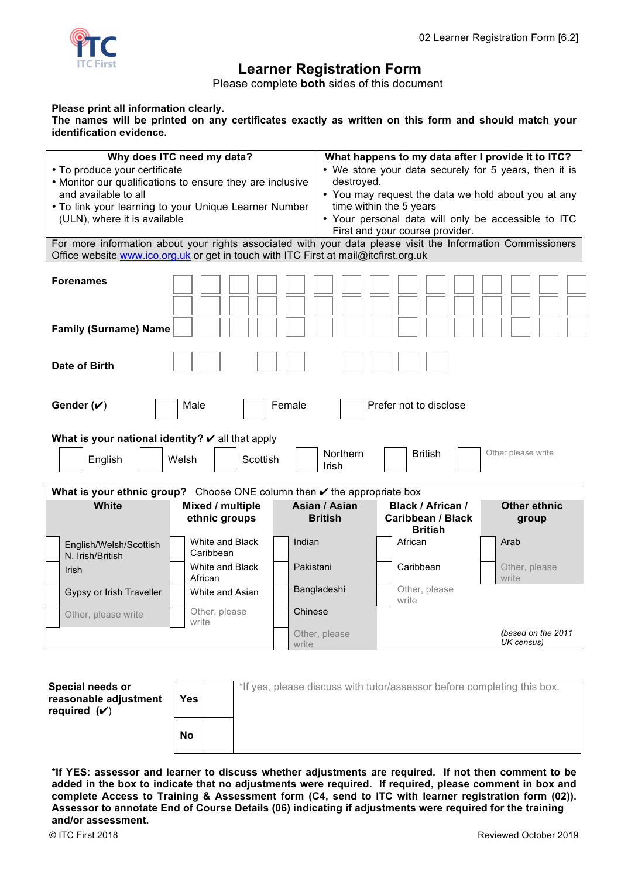

## **Learner Registration Form**

Please complete **both** sides of this document

## **Please print all information clearly.**

**The names will be printed on any certificates exactly as written on this form and should match your identification evidence.** 

| Why does ITC need my data?<br>• To produce your certificate<br>• Monitor our qualifications to ensure they are inclusive<br>and available to all<br>. To link your learning to your Unique Learner Number<br>(ULN), where it is available | destroyed.                        | What happens to my data after I provide it to ITC?<br>• We store your data securely for 5 years, then it is<br>• You may request the data we hold about you at any<br>time within the 5 years<br>• Your personal data will only be accessible to ITC<br>First and your course provider. |                                                                 |                                  |  |  |  |  |
|-------------------------------------------------------------------------------------------------------------------------------------------------------------------------------------------------------------------------------------------|-----------------------------------|-----------------------------------------------------------------------------------------------------------------------------------------------------------------------------------------------------------------------------------------------------------------------------------------|-----------------------------------------------------------------|----------------------------------|--|--|--|--|
| For more information about your rights associated with your data please visit the Information Commissioners<br>Office website www.ico.org.uk or get in touch with ITC First at mail@itcfirst.org.uk                                       |                                   |                                                                                                                                                                                                                                                                                         |                                                                 |                                  |  |  |  |  |
| <b>Forenames</b><br><b>Family (Surname) Name</b>                                                                                                                                                                                          |                                   |                                                                                                                                                                                                                                                                                         |                                                                 |                                  |  |  |  |  |
| <b>Date of Birth</b>                                                                                                                                                                                                                      |                                   |                                                                                                                                                                                                                                                                                         |                                                                 |                                  |  |  |  |  |
| Prefer not to disclose<br>Gender $(\checkmark)$<br>Male<br>Female                                                                                                                                                                         |                                   |                                                                                                                                                                                                                                                                                         |                                                                 |                                  |  |  |  |  |
| What is your national identity? $\boldsymbol{\nu}$ all that apply                                                                                                                                                                         |                                   |                                                                                                                                                                                                                                                                                         |                                                                 |                                  |  |  |  |  |
| Other please write<br>Northern<br><b>British</b><br>Welsh<br>Scottish<br>English<br>Irish                                                                                                                                                 |                                   |                                                                                                                                                                                                                                                                                         |                                                                 |                                  |  |  |  |  |
| What is your ethnic group? Choose ONE column then $\checkmark$ the appropriate box                                                                                                                                                        |                                   |                                                                                                                                                                                                                                                                                         |                                                                 |                                  |  |  |  |  |
| White                                                                                                                                                                                                                                     | Mixed / multiple<br>ethnic groups | Asian / Asian<br><b>British</b>                                                                                                                                                                                                                                                         | <b>Black / African /</b><br>Caribbean / Black<br><b>British</b> | <b>Other ethnic</b><br>group     |  |  |  |  |
| English/Welsh/Scottish<br>N. Irish/British                                                                                                                                                                                                | White and Black<br>Caribbean      | Indian                                                                                                                                                                                                                                                                                  | African                                                         | Arab                             |  |  |  |  |
| <b>Irish</b>                                                                                                                                                                                                                              | White and Black<br>African        | Pakistani                                                                                                                                                                                                                                                                               | Caribbean                                                       | Other, please<br>write           |  |  |  |  |
| Gypsy or Irish Traveller                                                                                                                                                                                                                  | White and Asian                   | Bangladeshi                                                                                                                                                                                                                                                                             | Other, please<br>write                                          |                                  |  |  |  |  |
| Other, please write                                                                                                                                                                                                                       | Other, please<br>write            | Chinese                                                                                                                                                                                                                                                                                 |                                                                 |                                  |  |  |  |  |
|                                                                                                                                                                                                                                           |                                   | Other, please<br>write                                                                                                                                                                                                                                                                  |                                                                 | (based on the 2011<br>UK census) |  |  |  |  |

| Special needs or<br>reasonable adjustment<br>required $(V)$ | Yes.      | *If yes, please discuss with tutor/assessor before completing this box. |
|-------------------------------------------------------------|-----------|-------------------------------------------------------------------------|
|                                                             | <b>No</b> |                                                                         |

**\*If YES: assessor and learner to discuss whether adjustments are required. If not then comment to be added in the box to indicate that no adjustments were required. If required, please comment in box and complete Access to Training & Assessment form (C4, send to ITC with learner registration form (02)). Assessor to annotate End of Course Details (06) indicating if adjustments were required for the training and/or assessment.**